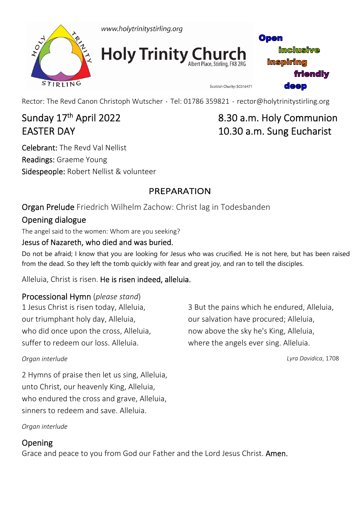



**Holy Trinity Church** 

Open **imclusive inspiring friendly deep** 

Rector: The Revd Canon Christoph Wutscher · Tel: 01786 359821 · rector@holytrinitystirling.org

Celebrant: The Revd Val Nellist Readings: Graeme Young Sidespeople: Robert Nellist & volunteer

# Sunday 17<sup>th</sup> April 2022 **8.30 a.m. Holy Communion** EASTER DAY **IO.30 a.m.** Sung Eucharist

Scottish Charity: SC016471

# PREPARATION

Organ Prelude Friedrich Wilhelm Zachow: Christ lag in Todesbanden

### Opening dialogue

The angel said to the women: Whom are you seeking?

#### Jesus of Nazareth, who died and was buried.

Do not be afraid; I know that you are looking for Jesus who was crucified. He is not here, but has been raised from the dead. So they left the tomb quickly with fear and great joy, and ran to tell the disciples.

Alleluia, Christ is risen. He is risen indeed, alleluia.

#### Processional Hymn (*please stand*)

1 Jesus Christ is risen today, Alleluia, our triumphant holy day, Alleluia, who did once upon the cross, Alleluia, suffer to redeem our loss. Alleluia.

#### *Organ interlude*

2 Hymns of praise then let us sing, Alleluia, unto Christ, our heavenly King, Alleluia, who endured the cross and grave, Alleluia, sinners to redeem and save. Alleluia.

*Organ interlude* 

### Opening

Grace and peace to you from God our Father and the Lord Jesus Christ. Amen.

3 But the pains which he endured, Alleluia, our salvation have procured; Alleluia, now above the sky he's King, Alleluia, where the angels ever sing. Alleluia.

*Lyra Davidica*, 1708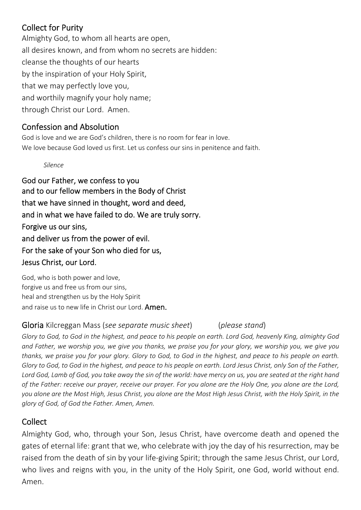### Collect for Purity

Almighty God, to whom all hearts are open, all desires known, and from whom no secrets are hidden: cleanse the thoughts of our hearts by the inspiration of your Holy Spirit, that we may perfectly love you, and worthily magnify your holy name; through Christ our Lord. Amen.

#### Confession and Absolution

God is love and we are God's children, there is no room for fear in love. We love because God loved us first. Let us confess our sins in penitence and faith.

#### *Silence*

God our Father, we confess to you and to our fellow members in the Body of Christ that we have sinned in thought, word and deed, and in what we have failed to do. We are truly sorry. Forgive us our sins, and deliver us from the power of evil. For the sake of your Son who died for us, Jesus Christ, our Lord.

God, who is both power and love, forgive us and free us from our sins, heal and strengthen us by the Holy Spirit and raise us to new life in Christ our Lord. **Amen.** 

#### Gloria Kilcreggan Mass (*see separate music sheet*) (*please stand*)

*Glory to God, to God in the highest, and peace to his people on earth. Lord God, heavenly King, almighty God and Father, we worship you, we give you thanks, we praise you for your glory, we worship you, we give you thanks, we praise you for your glory. Glory to God, to God in the highest, and peace to his people on earth. Glory to God, to God in the highest, and peace to his people on earth. Lord Jesus Christ, only Son of the Father, Lord God, Lamb of God, you take away the sin of the world: have mercy on us, you are seated at the right hand of the Father: receive our prayer, receive our prayer. For you alone are the Holy One, you alone are the Lord, you alone are the Most High, Jesus Christ, you alone are the Most High Jesus Christ, with the Holy Spirit, in the glory of God, of God the Father. Amen, Amen.*

#### Collect

Almighty God, who, through your Son, Jesus Christ, have overcome death and opened the gates of eternal life: grant that we, who celebrate with joy the day of his resurrection, may be raised from the death of sin by your life‐giving Spirit; through the same Jesus Christ, our Lord, who lives and reigns with you, in the unity of the Holy Spirit, one God, world without end. Amen.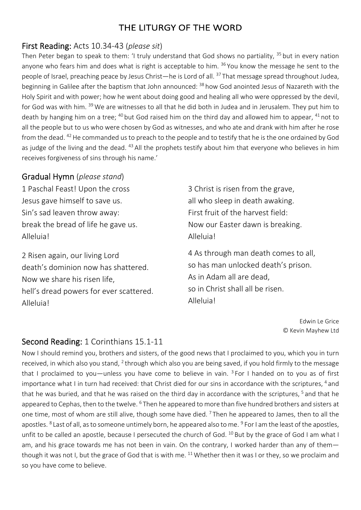### THE LITURGY OF THE WORD

#### First Reading: Acts 10.34‐43 (*please sit*)

Then Peter began to speak to them: 'I truly understand that God shows no partiality, <sup>35</sup> but in every nation anyone who fears him and does what is right is acceptable to him. <sup>36</sup> You know the message he sent to the people of Israel, preaching peace by Jesus Christ—he is Lord of all. <sup>37</sup> That message spread throughout Judea, beginning in Galilee after the baptism that John announced: 38 how God anointed Jesus of Nazareth with the Holy Spirit and with power; how he went about doing good and healing all who were oppressed by the devil, for God was with him. <sup>39</sup> We are witnesses to all that he did both in Judea and in Jerusalem. They put him to death by hanging him on a tree; <sup>40</sup> but God raised him on the third day and allowed him to appear, <sup>41</sup> not to all the people but to us who were chosen by God as witnesses, and who ate and drank with him after he rose from the dead. 42 He commanded us to preach to the people and to testify that he is the one ordained by God as judge of the living and the dead. <sup>43</sup> All the prophets testify about him that everyone who believes in him receives forgiveness of sins through his name.'

#### Gradual Hymn (*please stand*)

1 Paschal Feast! Upon the cross Jesus gave himself to save us. Sin's sad leaven throw away: break the bread of life he gave us. Alleluia!

2 Risen again, our living Lord death's dominion now has shattered. Now we share his risen life, hell's dread powers for ever scattered. Alleluia!

3 Christ is risen from the grave, all who sleep in death awaking. First fruit of the harvest field: Now our Easter dawn is breaking. Alleluia!

4 As through man death comes to all, so has man unlocked death's prison. As in Adam all are dead, so in Christ shall all be risen. Alleluia!

> Edwin Le Grice © Kevin Mayhew Ltd

### Second Reading: 1 Corinthians 15.1‐11

Now I should remind you, brothers and sisters, of the good news that I proclaimed to you, which you in turn received, in which also you stand, 2 through which also you are being saved, if you hold firmly to the message that I proclaimed to you—unless you have come to believe in vain.  $3$  For I handed on to you as of first importance what I in turn had received: that Christ died for our sins in accordance with the scriptures, <sup>4</sup> and that he was buried, and that he was raised on the third day in accordance with the scriptures, <sup>5</sup> and that he appeared to Cephas, then to the twelve. <sup>6</sup> Then he appeared to more than five hundred brothers and sisters at one time, most of whom are still alive, though some have died. <sup>7</sup> Then he appeared to James, then to all the apostles. <sup>8</sup> Last of all, as to someone untimely born, he appeared also to me. <sup>9</sup> For I am the least of the apostles, unfit to be called an apostle, because I persecuted the church of God. <sup>10</sup> But by the grace of God I am what I am, and his grace towards me has not been in vain. On the contrary, I worked harder than any of them though it was not I, but the grace of God that is with me.  $^{11}$  Whether then it was I or they, so we proclaim and so you have come to believe.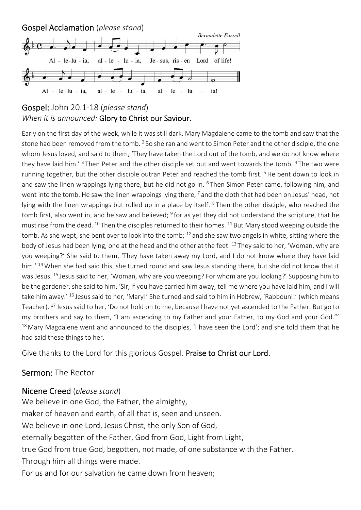



Early on the first day of the week, while it was still dark, Mary Magdalene came to the tomb and saw that the stone had been removed from the tomb. <sup>2</sup> So she ran and went to Simon Peter and the other disciple, the one whom Jesus loved, and said to them, 'They have taken the Lord out of the tomb, and we do not know where they have laid him.<sup>'3</sup> Then Peter and the other disciple set out and went towards the tomb. <sup>4</sup> The two were running together, but the other disciple outran Peter and reached the tomb first.<sup>5</sup> He bent down to look in and saw the linen wrappings lying there, but he did not go in. <sup>6</sup> Then Simon Peter came, following him, and went into the tomb. He saw the linen wrappings lying there, <sup>7</sup> and the cloth that had been on Jesus' head, not lying with the linen wrappings but rolled up in a place by itself. <sup>8</sup> Then the other disciple, who reached the tomb first, also went in, and he saw and believed;  $9$  for as yet they did not understand the scripture, that he must rise from the dead. <sup>10</sup> Then the disciples returned to their homes. <sup>11</sup> But Mary stood weeping outside the tomb. As she wept, she bent over to look into the tomb; 12 and she saw two angels in white, sitting where the body of Jesus had been lying, one at the head and the other at the feet. <sup>13</sup> They said to her, 'Woman, why are you weeping?' She said to them, 'They have taken away my Lord, and I do not know where they have laid him.' <sup>14</sup> When she had said this, she turned round and saw Jesus standing there, but she did not know that it was Jesus. 15 Jesus said to her, 'Woman, why are you weeping? For whom are you looking?' Supposing him to be the gardener, she said to him, 'Sir, if you have carried him away, tell me where you have laid him, and I will take him away.' <sup>16</sup> Jesus said to her, 'Mary!' She turned and said to him in Hebrew, 'Rabbouni!' (which means Teacher). <sup>17</sup> Jesus said to her, 'Do not hold on to me, because I have not yet ascended to the Father. But go to my brothers and say to them, "I am ascending to my Father and your Father, to my God and your God."'  $18$  Mary Magdalene went and announced to the disciples, 'I have seen the Lord'; and she told them that he had said these things to her.

Give thanks to the Lord for this glorious Gospel. Praise to Christ our Lord.

#### Sermon: The Rector

#### Nicene Creed (*please stand*)

We believe in one God, the Father, the almighty, maker of heaven and earth, of all that is, seen and unseen. We believe in one Lord, Jesus Christ, the only Son of God, eternally begotten of the Father, God from God, Light from Light, true God from true God, begotten, not made, of one substance with the Father. Through him all things were made. For us and for our salvation he came down from heaven;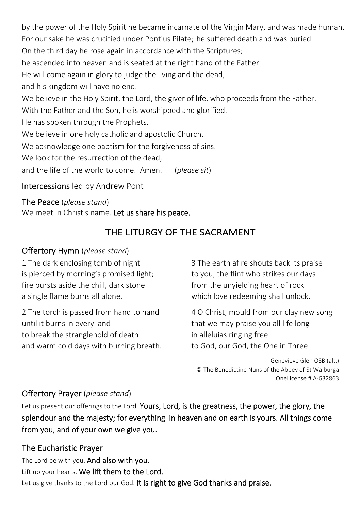by the power of the Holy Spirit he became incarnate of the Virgin Mary, and was made human. For our sake he was crucified under Pontius Pilate; he suffered death and was buried. On the third day he rose again in accordance with the Scriptures; he ascended into heaven and is seated at the right hand of the Father. He will come again in glory to judge the living and the dead, and his kingdom will have no end. We believe in the Holy Spirit, the Lord, the giver of life, who proceeds from the Father. With the Father and the Son, he is worshipped and glorified. He has spoken through the Prophets. We believe in one holy catholic and apostolic Church. We acknowledge one baptism for the forgiveness of sins. We look for the resurrection of the dead. and the life of the world to come. Amen. (*please sit*)

#### Intercessions led by Andrew Pont

The Peace (*please stand*) We meet in Christ's name. Let us share his peace.

# THE LITURGY OF THE SACRAMENT

#### Offertory Hymn (*please stand*)

1 The dark enclosing tomb of night is pierced by morning's promised light; fire bursts aside the chill, dark stone a single flame burns all alone.

2 The torch is passed from hand to hand until it burns in every land to break the stranglehold of death and warm cold days with burning breath.

3 The earth afire shouts back its praise to you, the flint who strikes our days from the unyielding heart of rock which love redeeming shall unlock.

4 O Christ, mould from our clay new song that we may praise you all life long in alleluias ringing free to God, our God, the One in Three.

Genevieve Glen OSB (alt.) © The Benedictine Nuns of the Abbey of St Walburga OneLicense # A‐632863

### Offertory Prayer (*please stand*)

Let us present our offerings to the Lord. Yours, Lord, is the greatness, the power, the glory, the splendour and the majesty; for everything in heaven and on earth is yours. All things come from you, and of your own we give you.

### The Eucharistic Prayer

The Lord be with you. And also with you. Lift up your hearts. We lift them to the Lord. Let us give thanks to the Lord our God. It is right to give God thanks and praise.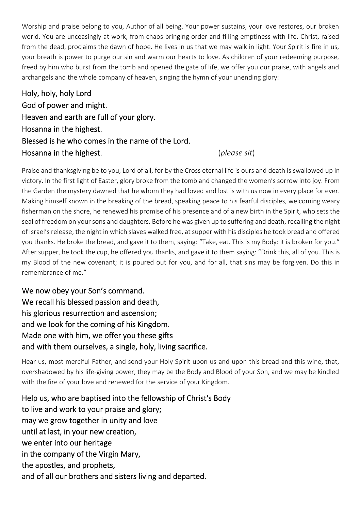Worship and praise belong to you, Author of all being. Your power sustains, your love restores, our broken world. You are unceasingly at work, from chaos bringing order and filling emptiness with life. Christ, raised from the dead, proclaims the dawn of hope. He lives in us that we may walk in light. Your Spirit is fire in us, your breath is power to purge our sin and warm our hearts to love. As children of your redeeming purpose, freed by him who burst from the tomb and opened the gate of life, we offer you our praise, with angels and archangels and the whole company of heaven, singing the hymn of your unending glory:

Holy, holy, holy Lord God of power and might. Heaven and earth are full of your glory. Hosanna in the highest. Blessed is he who comes in the name of the Lord. Hosanna in the highest. (*please sit*)

Praise and thanksgiving be to you, Lord of all, for by the Cross eternal life is ours and death is swallowed up in victory. In the first light of Easter, glory broke from the tomb and changed the women's sorrow into joy. From the Garden the mystery dawned that he whom they had loved and lost is with us now in every place for ever. Making himself known in the breaking of the bread, speaking peace to his fearful disciples, welcoming weary fisherman on the shore, he renewed his promise of his presence and of a new birth in the Spirit, who sets the seal of freedom on your sons and daughters. Before he was given up to suffering and death, recalling the night of Israel's release, the night in which slaves walked free, at supper with his disciples he took bread and offered you thanks. He broke the bread, and gave it to them, saying: "Take, eat. This is my Body: it is broken for you." After supper, he took the cup, he offered you thanks, and gave it to them saying: "Drink this, all of you. This is my Blood of the new covenant; it is poured out for you, and for all, that sins may be forgiven. Do this in remembrance of me."

We now obey your Son's command. We recall his blessed passion and death, his glorious resurrection and ascension; and we look for the coming of his Kingdom. Made one with him, we offer you these gifts and with them ourselves, a single, holy, living sacrifice.

Hear us, most merciful Father, and send your Holy Spirit upon us and upon this bread and this wine, that, overshadowed by his life‐giving power, they may be the Body and Blood of your Son, and we may be kindled with the fire of your love and renewed for the service of your Kingdom.

Help us, who are baptised into the fellowship of Christ's Body to live and work to your praise and glory; may we grow together in unity and love until at last, in your new creation, we enter into our heritage in the company of the Virgin Mary, the apostles, and prophets, and of all our brothers and sisters living and departed.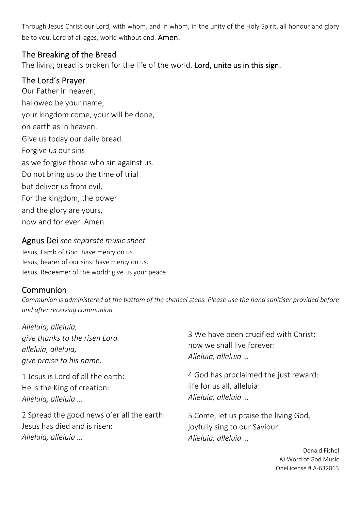Through Jesus Christ our Lord, with whom, and in whom, in the unity of the Holy Spirit, all honour and glory be to you, Lord of all ages, world without end. **Amen.** 

#### The Breaking of the Bread

The living bread is broken for the life of the world. Lord, unite us in this sign.

#### The Lord's Prayer

Our Father in heaven, hallowed be your name, your kingdom come, your will be done, on earth as in heaven. Give us today our daily bread. Forgive us our sins as we forgive those who sin against us. Do not bring us to the time of trial but deliver us from evil. For the kingdom, the power and the glory are yours, now and for ever. Amen.

#### Agnus Dei *see separate music sheet*

Jesus, Lamb of God: have mercy on us. Jesus, bearer of our sins: have mercy on us. Jesus, Redeemer of the world: give us your peace.

#### Communion

*Communion is administered at the bottom of the chancel steps. Please use the hand sanitiser provided before and after receiving communion.* 

| Alleluia, alleluia,<br>give thanks to the risen Lord.<br>alleluia, alleluia,<br>give praise to his name. | 3 We have been crucified with Christ:<br>now we shall live forever:<br>Alleluia, alleluia |
|----------------------------------------------------------------------------------------------------------|-------------------------------------------------------------------------------------------|
| 1 Jesus is Lord of all the earth:                                                                        | 4 God has proclaimed the just reward:                                                     |
| He is the King of creation:                                                                              | life for us all, alleluia:                                                                |
| Alleluia, alleluia                                                                                       | Alleluia, alleluia                                                                        |
| 2 Spread the good news o'er all the earth:                                                               | 5 Come, let us praise the living God,                                                     |
| Jesus has died and is risen:                                                                             | joyfully sing to our Saviour:                                                             |
| Alleluia, alleluia                                                                                       | Alleluia, alleluia                                                                        |
|                                                                                                          | Donald E                                                                                  |

Donald Fishel © Word of God Music OneLicense # A‐632863